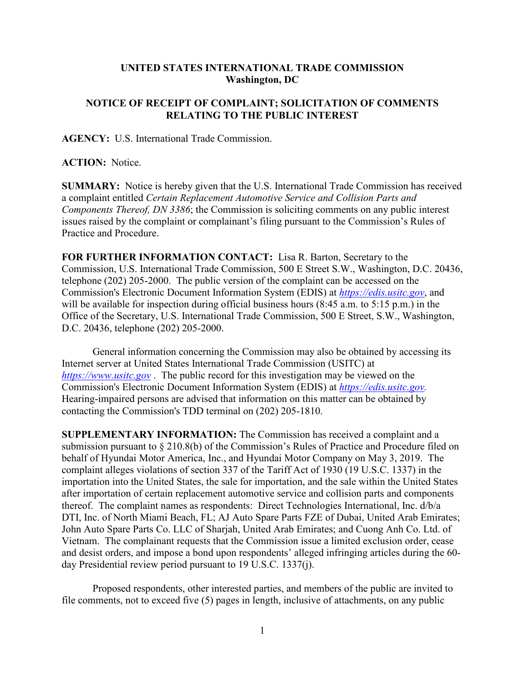## **UNITED STATES INTERNATIONAL TRADE COMMISSION Washington, DC**

## **NOTICE OF RECEIPT OF COMPLAINT; SOLICITATION OF COMMENTS RELATING TO THE PUBLIC INTEREST**

**AGENCY:** U.S. International Trade Commission.

**ACTION:** Notice.

**SUMMARY:** Notice is hereby given that the U.S. International Trade Commission has received a complaint entitled *Certain Replacement Automotive Service and Collision Parts and Components Thereof, DN 3386*; the Commission is soliciting comments on any public interest issues raised by the complaint or complainant's filing pursuant to the Commission's Rules of Practice and Procedure.

**FOR FURTHER INFORMATION CONTACT:** Lisa R. Barton, Secretary to the Commission, U.S. International Trade Commission, 500 E Street S.W., Washington, D.C. 20436, telephone (202) 205-2000. The public version of the complaint can be accessed on the Commission's Electronic Document Information System (EDIS) at *[https://edis.usitc.gov](https://edis.usitc.gov/)*, and will be available for inspection during official business hours (8:45 a.m. to 5:15 p.m.) in the Office of the Secretary, U.S. International Trade Commission, 500 E Street, S.W., Washington, D.C. 20436, telephone (202) 205-2000.

General information concerning the Commission may also be obtained by accessing its Internet server at United States International Trade Commission (USITC) at *[https://www.usitc.gov](https://www.usitc.gov/)* . The public record for this investigation may be viewed on the Commission's Electronic Document Information System (EDIS) at *[https://edis.usitc.gov.](https://edis.usitc.gov/)* Hearing-impaired persons are advised that information on this matter can be obtained by contacting the Commission's TDD terminal on (202) 205-1810.

**SUPPLEMENTARY INFORMATION:** The Commission has received a complaint and a submission pursuant to § 210.8(b) of the Commission's Rules of Practice and Procedure filed on behalf of Hyundai Motor America, Inc., and Hyundai Motor Company on May 3, 2019. The complaint alleges violations of section 337 of the Tariff Act of 1930 (19 U.S.C. 1337) in the importation into the United States, the sale for importation, and the sale within the United States after importation of certain replacement automotive service and collision parts and components thereof. The complaint names as respondents: Direct Technologies International, Inc. d/b/a DTI, Inc. of North Miami Beach, FL; AJ Auto Spare Parts FZE of Dubai, United Arab Emirates; John Auto Spare Parts Co. LLC of Sharjah, United Arab Emirates; and Cuong Anh Co. Ltd. of Vietnam. The complainant requests that the Commission issue a limited exclusion order, cease and desist orders, and impose a bond upon respondents' alleged infringing articles during the 60 day Presidential review period pursuant to 19 U.S.C. 1337(j).

Proposed respondents, other interested parties, and members of the public are invited to file comments, not to exceed five (5) pages in length, inclusive of attachments, on any public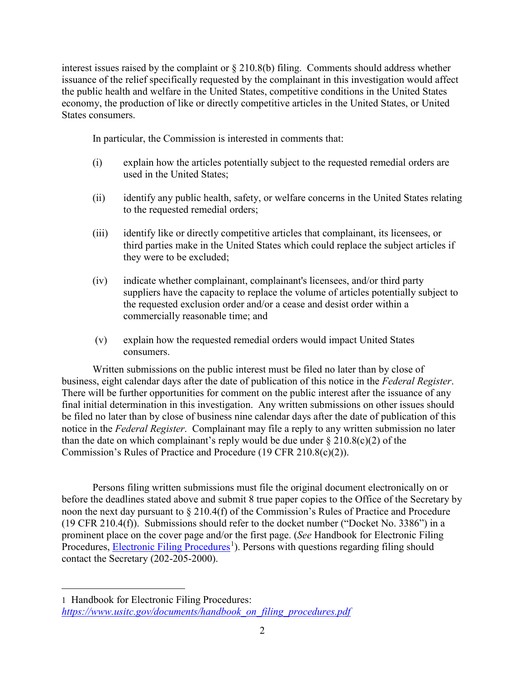interest issues raised by the complaint or § 210.8(b) filing. Comments should address whether issuance of the relief specifically requested by the complainant in this investigation would affect the public health and welfare in the United States, competitive conditions in the United States economy, the production of like or directly competitive articles in the United States, or United States consumers.

In particular, the Commission is interested in comments that:

- (i) explain how the articles potentially subject to the requested remedial orders are used in the United States;
- (ii) identify any public health, safety, or welfare concerns in the United States relating to the requested remedial orders;
- (iii) identify like or directly competitive articles that complainant, its licensees, or third parties make in the United States which could replace the subject articles if they were to be excluded;
- (iv) indicate whether complainant, complainant's licensees, and/or third party suppliers have the capacity to replace the volume of articles potentially subject to the requested exclusion order and/or a cease and desist order within a commercially reasonable time; and
- (v) explain how the requested remedial orders would impact United States consumers.

Written submissions on the public interest must be filed no later than by close of business, eight calendar days after the date of publication of this notice in the *Federal Register*. There will be further opportunities for comment on the public interest after the issuance of any final initial determination in this investigation. Any written submissions on other issues should be filed no later than by close of business nine calendar days after the date of publication of this notice in the *Federal Register*. Complainant may file a reply to any written submission no later than the date on which complainant's reply would be due under  $\S 210.8(c)(2)$  of the Commission's Rules of Practice and Procedure (19 CFR 210.8(c)(2)).

Persons filing written submissions must file the original document electronically on or before the deadlines stated above and submit 8 true paper copies to the Office of the Secretary by noon the next day pursuant to § 210.4(f) of the Commission's Rules of Practice and Procedure (19 CFR 210.4(f)). Submissions should refer to the docket number ("Docket No. 3386") in a prominent place on the cover page and/or the first page. (*See* Handbook for Electronic Filing Procedures, **Electronic Filing Procedures**<sup>[1](#page-1-0)</sup>). Persons with questions regarding filing should contact the Secretary (202-205-2000).

 $\overline{a}$ 

<span id="page-1-0"></span><sup>1</sup> Handbook for Electronic Filing Procedures: *[https://www.usitc.gov/documents/handbook\\_on\\_filing\\_procedures.pdf](https://www.usitc.gov/documents/handbook_on_filing_procedures.pdf)*